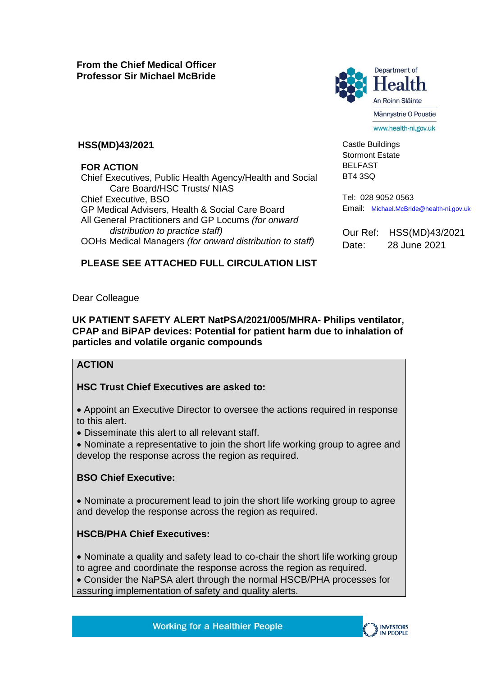

Castle Buildings Stormont Estate BELFAST BT4 3SQ

www.health-ni.gov.uk

#### **HSS(MD)43/2021**

#### **FOR ACTION**

Chief Executives, Public Health Agency/Health and Social Care Board/HSC Trusts/ NIAS Chief Executive, BSO GP Medical Advisers, Health & Social Care Board All General Practitioners and GP Locums *(for onward distribution to practice staff)*  OOHs Medical Managers *(for onward distribution to staff)*

Tel: 028 9052 0563 Email: [Michael.McBride@health-ni.gov.uk](mailto:Michael.McBride@health-ni.gov.uk)

Our Ref: HSS(MD)43/2021 Date: 28 June 2021

# **PLEASE SEE ATTACHED FULL CIRCULATION LIST**

Dear Colleague

#### **UK PATIENT SAFETY ALERT NatPSA/2021/005/MHRA- Philips ventilator, CPAP and BiPAP devices: Potential for patient harm due to inhalation of particles and volatile organic compounds**

# **ACTION**

# **HSC Trust Chief Executives are asked to:**

 Appoint an Executive Director to oversee the actions required in response to this alert.

Disseminate this alert to all relevant staff.

 Nominate a representative to join the short life working group to agree and develop the response across the region as required.

# **BSO Chief Executive:**

 Nominate a procurement lead to join the short life working group to agree and develop the response across the region as required.

# **HSCB/PHA Chief Executives:**

 Nominate a quality and safety lead to co-chair the short life working group to agree and coordinate the response across the region as required.

 Consider the NaPSA alert through the normal HSCB/PHA processes for assuring implementation of safety and quality alerts.

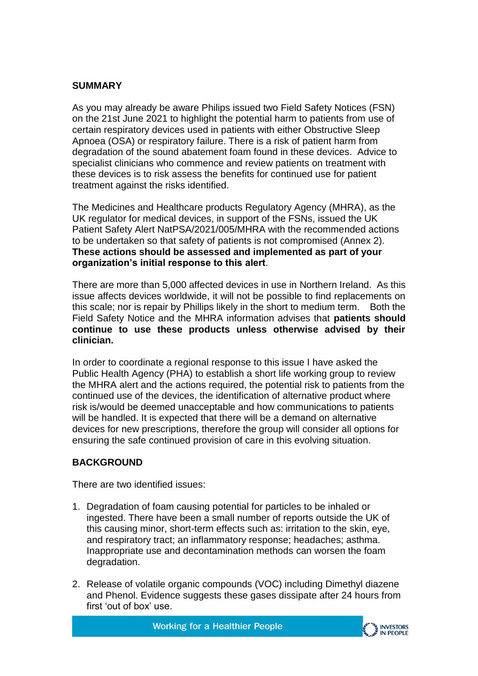# **SUMMARY**

As you may already be aware Philips issued two Field Safety Notices (FSN) on the 21st June 2021 to highlight the potential harm to patients from use of certain respiratory devices used in patients with either Obstructive Sleep Apnoea (OSA) or respiratory failure. There is a risk of patient harm from degradation of the sound abatement foam found in these devices. Advice to specialist clinicians who commence and review patients on treatment with these devices is to risk assess the benefits for continued use for patient treatment against the risks identified.

The Medicines and Healthcare products Regulatory Agency (MHRA), as the UK regulator for medical devices, in support of the FSNs, issued the UK Patient Safety Alert NatPSA/2021/005/MHRA with the recommended actions to be undertaken so that safety of patients is not compromised (Annex 2). **These actions should be assessed and implemented as part of your organization's initial response to this alert**.

There are more than 5,000 affected devices in use in Northern Ireland. As this issue affects devices worldwide, it will not be possible to find replacements on this scale; nor is repair by Phillips likely in the short to medium term. Both the Field Safety Notice and the MHRA information advises that **patients should continue to use these products unless otherwise advised by their clinician.**

In order to coordinate a regional response to this issue I have asked the Public Health Agency (PHA) to establish a short life working group to review the MHRA alert and the actions required, the potential risk to patients from the continued use of the devices, the identification of alternative product where risk is/would be deemed unacceptable and how communications to patients will be handled. It is expected that there will be a demand on alternative devices for new prescriptions, therefore the group will consider all options for ensuring the safe continued provision of care in this evolving situation.

# **BACKGROUND**

There are two identified issues:

- 1. Degradation of foam causing potential for particles to be inhaled or ingested. There have been a small number of reports outside the UK of this causing minor, short-term effects such as: irritation to the skin, eye, and respiratory tract; an inflammatory response; headaches; asthma. Inappropriate use and decontamination methods can worsen the foam degradation.
- 2. Release of volatile organic compounds (VOC) including Dimethyl diazene and Phenol. Evidence suggests these gases dissipate after 24 hours from first 'out of box' use.

**Working for a Healthier People** 

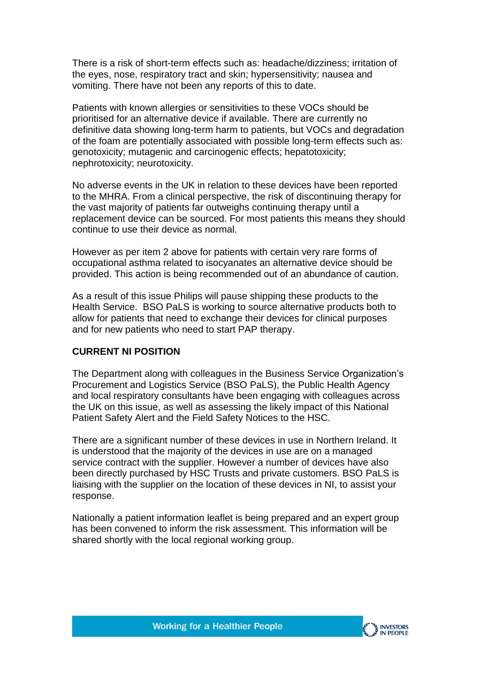There is a risk of short-term effects such as: headache/dizziness; irritation of the eyes, nose, respiratory tract and skin; hypersensitivity; nausea and vomiting. There have not been any reports of this to date.

Patients with known allergies or sensitivities to these VOCs should be prioritised for an alternative device if available. There are currently no definitive data showing long-term harm to patients, but VOCs and degradation of the foam are potentially associated with possible long-term effects such as: genotoxicity; mutagenic and carcinogenic effects; hepatotoxicity; nephrotoxicity; neurotoxicity.

No adverse events in the UK in relation to these devices have been reported to the MHRA. From a clinical perspective, the risk of discontinuing therapy for the vast majority of patients far outweighs continuing therapy until a replacement device can be sourced. For most patients this means they should continue to use their device as normal.

However as per item 2 above for patients with certain very rare forms of occupational asthma related to isocyanates an alternative device should be provided. This action is being recommended out of an abundance of caution.

As a result of this issue Philips will pause shipping these products to the Health Service. BSO PaLS is working to source alternative products both to allow for patients that need to exchange their devices for clinical purposes and for new patients who need to start PAP therapy.

#### **CURRENT NI POSITION**

The Department along with colleagues in the Business Service Organization's Procurement and Logistics Service (BSO PaLS), the Public Health Agency and local respiratory consultants have been engaging with colleagues across the UK on this issue, as well as assessing the likely impact of this National Patient Safety Alert and the Field Safety Notices to the HSC.

There are a significant number of these devices in use in Northern Ireland. It is understood that the majority of the devices in use are on a managed service contract with the supplier. However a number of devices have also been directly purchased by HSC Trusts and private customers. BSO PaLS is liaising with the supplier on the location of these devices in NI, to assist your response.

Nationally a patient information leaflet is being prepared and an expert group has been convened to inform the risk assessment. This information will be shared shortly with the local regional working group.

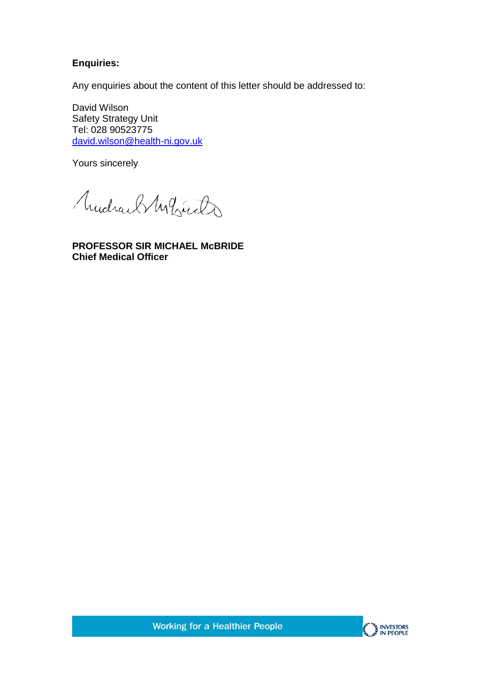# **Enquiries:**

Any enquiries about the content of this letter should be addressed to:

David Wilson Safety Strategy Unit Tel: 028 90523775 [david.wilson@health-ni.gov.uk](mailto:david.wilson@health-ni.gov.uk)

Yours sincerely

Mudrach White

**PROFESSOR SIR MICHAEL McBRIDE Chief Medical Officer**